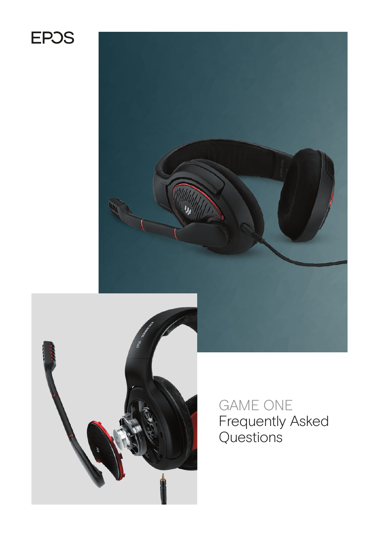# **EPOS**





GAME ONE Frequently Asked Questions